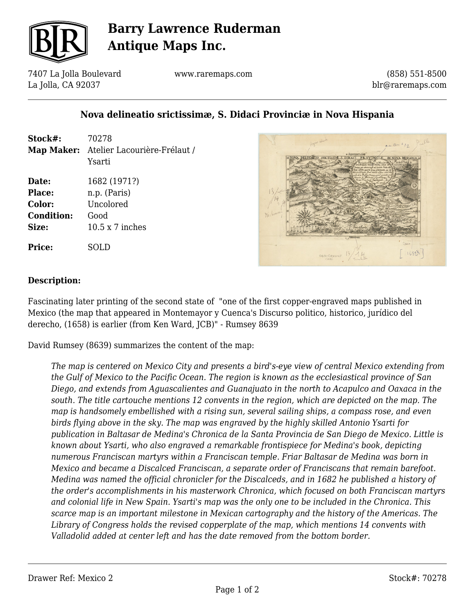

# **Barry Lawrence Ruderman Antique Maps Inc.**

7407 La Jolla Boulevard La Jolla, CA 92037

www.raremaps.com

(858) 551-8500 blr@raremaps.com

### **Nova delineatio srictissimæ, S. Didaci Provinciæ in Nova Hispania**

| Stock#:                                          | 70278<br>Map Maker: Atelier Lacourière-Frélaut /<br>Ysarti                  |
|--------------------------------------------------|-----------------------------------------------------------------------------|
| Date:<br>Place:<br>Color:<br>Condition:<br>Size: | 1682 (1971?)<br>n.p. (Paris)<br>Uncolored<br>Good<br>$10.5 \times 7$ inches |
| Price:                                           | SOLD                                                                        |



#### **Description:**

Fascinating later printing of the second state of "one of the first copper-engraved maps published in Mexico (the map that appeared in Montemayor y Cuenca's Discurso politico, historico, jurídico del derecho, (1658) is earlier (from Ken Ward, JCB)" - Rumsey 8639

David Rumsey (8639) summarizes the content of the map:

*The map is centered on Mexico City and presents a bird's-eye view of central Mexico extending from the Gulf of Mexico to the Pacific Ocean. The region is known as the ecclesiastical province of San Diego, and extends from Aguascalientes and Guanajuato in the north to Acapulco and Oaxaca in the south. The title cartouche mentions 12 convents in the region, which are depicted on the map. The map is handsomely embellished with a rising sun, several sailing ships, a compass rose, and even birds flying above in the sky. The map was engraved by the highly skilled Antonio Ysarti for publication in Baltasar de Medina's Chronica de la Santa Provincia de San Diego de Mexico. Little is known about Ysarti, who also engraved a remarkable frontispiece for Medina's book, depicting numerous Franciscan martyrs within a Franciscan temple. Friar Baltasar de Medina was born in Mexico and became a Discalced Franciscan, a separate order of Franciscans that remain barefoot. Medina was named the official chronicler for the Discalceds, and in 1682 he published a history of the order's accomplishments in his masterwork Chronica, which focused on both Franciscan martyrs and colonial life in New Spain. Ysarti's map was the only one to be included in the Chronica. This scarce map is an important milestone in Mexican cartography and the history of the Americas. The Library of Congress holds the revised copperplate of the map, which mentions 14 convents with Valladolid added at center left and has the date removed from the bottom border.*